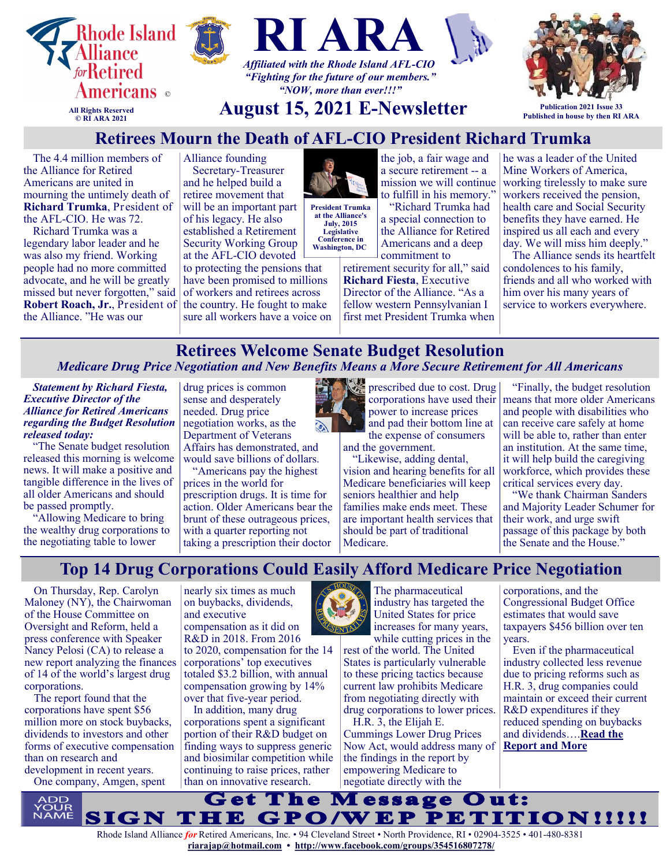





*"Fighting for the future of our members." "NOW, more than ever!!!"*

# August 15, 2021 E-Newsletter **Publication 2021 Issue 33**



**Published in house by then RI ARA**

# **Retirees Mourn the Death of AFL-CIO President Richard Trumka**

The 4.4 million members of the Alliance for Retired Americans are united in mourning the untimely death of **Richard Trumka**, President of the AFL-CIO. He was 72.

Richard Trumka was a legendary labor leader and he was also my friend. Working people had no more committed advocate, and he will be greatly missed but never forgotten," said **Robert Roach, Jr.**, President of the Alliance. "He was our

Alliance founding Secretary-Treasurer and he helped build a retiree movement that will be an important part of his legacy. He also established a Retirement Security Working Group at the AFL-CIO devoted

to protecting the pensions that have been promised to millions of workers and retirees across the country. He fought to make sure all workers have a voice on



**President Trumka at the Alliance's July, 2015 Legislative Conference in Washington, DC**

commitment to retirement security for all," said **Richard Fiesta**, Executive Director of the Alliance. "As a fellow western Pennsylvanian I first met President Trumka when

the job, a fair wage and a secure retirement -- a mission we will continue to fulfill in his memory." "Richard Trumka had a special connection to the Alliance for Retired Americans and a deep

he was a leader of the United Mine Workers of America, working tirelessly to make sure workers received the pension, health care and Social Security benefits they have earned. He inspired us all each and every day. We will miss him deeply."

The Alliance sends its heartfelt condolences to his family, friends and all who worked with him over his many years of service to workers everywhere.

#### **Retirees Welcome Senate Budget Resolution** *Medicare Drug Price Negotiation and New Benefits Means a More Secure Retirement for All Americans*

*Statement by Richard Fiesta, Executive Director of the Alliance for Retired Americans regarding the Budget Resolution released today:*

"The Senate budget resolution released this morning is welcome news. It will make a positive and tangible difference in the lives of all older Americans and should be passed promptly.

"Allowing Medicare to bring the wealthy drug corporations to the negotiating table to lower

drug prices is common sense and desperately needed. Drug price negotiation works, as the Department of Veterans Affairs has demonstrated, and would save billions of dollars.

"Americans pay the highest prices in the world for prescription drugs. It is time for action. Older Americans bear the brunt of these outrageous prices, with a quarter reporting not taking a prescription their doctor



prescribed due to cost. Drug corporations have used their power to increase prices and pad their bottom line at the expense of consumers

and the government.

"Likewise, adding dental, vision and hearing benefits for all Medicare beneficiaries will keep seniors healthier and help families make ends meet. These are important health services that should be part of traditional Medicare.

"Finally, the budget resolution means that more older Americans and people with disabilities who can receive care safely at home will be able to, rather than enter an institution. At the same time, it will help build the caregiving workforce, which provides these critical services every day.

"We thank Chairman Sanders and Majority Leader Schumer for their work, and urge swift passage of this package by both the Senate and the House."

# **Top 14 Drug Corporations Could Easily Afford Medicare Price Negotiation**

On Thursday, Rep. Carolyn Maloney (NY), the Chairwoman of the House Committee on Oversight and Reform, held a press conference with Speaker Nancy Pelosi (CA) to release a new [report](https://u1584542.ct.sendgrid.net/ss/c/ZsYp6Jc2ATNP3MkVzvte6IX7LXmCC1H1bxMzsGmXS2hCPq7CD9RL2eVbMH1ZVZwda7MNwHlgNVw_u7r3Fh0JBb_6siPPFPyuwaeJl1853tUfUb_V6wZ9ea9uJKda8M-gvYmzRllVF5Q8v5oIfnE-mwogATNLFhv2s_Qb1LpXDnyb4ZpnAR6ptyf4dGSprwNKLo7Yt2V-FEiGG3UsiDkhQVNEZ4XQr) analyzing the finances of 14 of the world's largest drug corporations.

The report found that the corporations have spent \$56 million more on stock buybacks, dividends to investors and other forms of executive compensation than on research and development in recent years.

One company, Amgen, spent

nearly six times as much on buybacks, dividends, and executive compensation as it did on

R&D in 2018. From 2016 to 2020, compensation for the 14 corporations' top executives totaled \$3.2 billion, with annual compensation growing by 14% over that five-year period.

In addition, many drug corporations spent a significant portion of their R&D budget on finding ways to suppress generic and biosimilar competition while continuing to raise prices, rather than on innovative research.



The pharmaceutical industry has targeted the United States for price increases for many years, while cutting prices in the

rest of the world. The United States is particularly vulnerable to these pricing tactics because current law prohibits Medicare from negotiating directly with drug corporations to lower prices.

H.R. 3, the Elijah E. Cummings Lower Drug Prices Now Act, would address many of the findings in the report by empowering Medicare to negotiate directly with the

corporations, and the Congressional Budget Office estimates that would save taxpayers \$456 billion over ten years.

Even if the pharmaceutical industry collected less revenue due to pricing reforms such as H.R. 3, drug companies could maintain or exceed their current R&D expenditures if they reduced spending on buybacks and dividends….**[Read the](https://retiredamericans.org/report-shows-top-14-drug-corporations-could-easily-afford-medicare-price-negotiation/)  [Report and More](https://retiredamericans.org/report-shows-top-14-drug-corporations-could-easily-afford-medicare-price-negotiation/)**

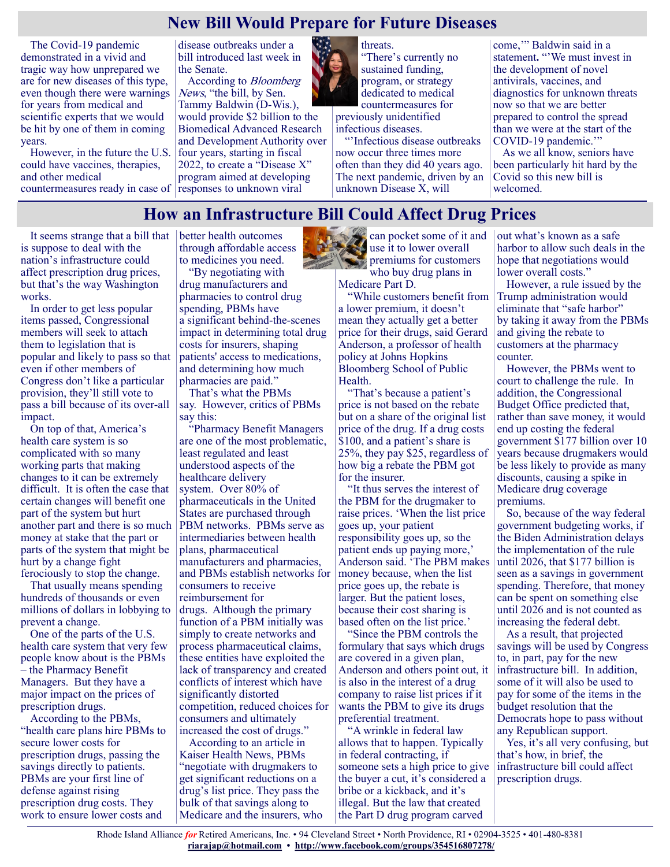#### **New Bill Would Prepare for Future Diseases**

The Covid-19 pandemic demonstrated in a vivid and tragic way how unprepared we are for new diseases of this type, even though there were warnings for years from medical and scientific experts that we would be hit by one of them in coming years.

However, in the future the U.S. could have vaccines, therapies, and other medical countermeasures ready in case of responses to unknown viral

disease outbreaks under a bill introduced last week in the Senate.

According to Bloomberg News, "the bill, by Sen. Tammy Baldwin (D-Wis.), would provide \$2 billion to the Biomedical Advanced Research and Development Authority over four years, starting in fiscal 2022, to create a "Disease X" program aimed at developing



"There's currently no sustained funding, program, or strategy dedicated to medical countermeasures for

previously unidentified infectious diseases.

"'Infectious disease outbreaks now occur three times more often than they did 40 years ago. The next pandemic, driven by an unknown Disease X, will

come,'" Baldwin said in a statement. "We must invest in the development of novel antivirals, vaccines, and diagnostics for unknown threats now so that we are better prepared to control the spread than we were at the start of the COVID-19 pandemic."

As we all know, seniors have been particularly hit hard by the Covid so this new bill is welcomed.

# **How an Infrastructure Bill Could Affect Drug Prices**

It seems strange that a bill that is suppose to deal with the nation's infrastructure could affect prescription drug prices, but that's the way Washington works.

In order to get less popular items passed, Congressional members will seek to attach them to legislation that is popular and likely to pass so that even if other members of Congress don't like a particular provision, they'll still vote to pass a bill because of its over-all impact.

On top of that, America's health care system is so complicated with so many working parts that making changes to it can be extremely difficult. It is often the case that certain changes will benefit one part of the system but hurt another part and there is so much money at stake that the part or parts of the system that might be hurt by a change fight ferociously to stop the change.

That usually means spending hundreds of thousands or even millions of dollars in lobbying to prevent a change.

One of the parts of the U.S. health care system that very few people know about is the PBMs – the Pharmacy Benefit Managers. But they have a major impact on the prices of prescription drugs.

According to the PBMs, "health care plans hire PBMs to secure lower costs for prescription drugs, passing the savings directly to patients. PBMs are your first line of defense against rising prescription drug costs. They work to ensure lower costs and

better health outcomes through affordable access to medicines you need.

"By negotiating with drug manufacturers and pharmacies to control drug spending, PBMs have a significant behind-the-scenes impact in determining total drug costs for insurers, shaping patients' access to medications, and determining how much pharmacies are paid."

That's what the PBMs say. However, critics of PBMs say this:

"Pharmacy Benefit Managers are one of the most problematic, least regulated and least understood aspects of the healthcare delivery system. Over 80% of pharmaceuticals in the United States are purchased through PBM networks. PBMs serve as intermediaries between health plans, pharmaceutical manufacturers and pharmacies, and PBMs establish networks for consumers to receive reimbursement for drugs. Although the primary function of a PBM initially was simply to create networks and process pharmaceutical claims, these entities have exploited the lack of transparency and created conflicts of interest which have significantly distorted competition, reduced choices for consumers and ultimately increased the cost of drugs."

According to an article in Kaiser Health News, PBMs "negotiate with drugmakers to get significant reductions on a drug's list price. They pass the bulk of that savings along to Medicare and the insurers, who

can pocket some of it and use it to lower overall premiums for customers who buy drug plans in Medicare Part D.

"While customers benefit from a lower premium, it doesn't mean they actually get a better price for their drugs, said Gerard Anderson, a professor of health policy at Johns Hopkins Bloomberg School of Public Health.

"That's because a patient's price is not based on the rebate but on a share of the original list price of the drug. If a drug costs \$100, and a patient's share is 25%, they pay \$25, regardless of how big a rebate the PBM got for the insurer.

"It thus serves the interest of the PBM for the drugmaker to raise prices. 'When the list price goes up, your patient responsibility goes up, so the patient ends up paying more,' Anderson said. 'The PBM makes money because, when the list price goes up, the rebate is larger. But the patient loses, because their cost sharing is based often on the list price.'

"Since the PBM controls the formulary that says which drugs are covered in a given plan, Anderson and others point out, it is also in the interest of a drug company to raise list prices if it wants the PBM to give its drugs preferential treatment.

"A wrinkle in federal law allows that to happen. Typically in federal contracting, if someone sets a high price to give the buyer a cut, it's considered a bribe or a kickback, and it's illegal. But the law that created the Part D drug program carved

out what's known as a safe harbor to allow such deals in the hope that negotiations would lower overall costs."

However, a rule issued by the Trump administration would eliminate that "safe harbor" by taking it away from the PBMs and giving the rebate to customers at the pharmacy counter.

However, the PBMs went to court to challenge the rule. In addition, the Congressional Budget Office predicted that, rather than save money, it would end up costing the federal government \$177 billion over 10 years because drugmakers would be less likely to provide as many discounts, causing a spike in Medicare drug coverage premiums.

So, because of the way federal government budgeting works, if the Biden Administration delays the implementation of the rule until 2026, that \$177 billion is seen as a savings in government spending. Therefore, that money can be spent on something else until 2026 and is not counted as increasing the federal debt.

As a result, that projected savings will be used by Congress to, in part, pay for the new infrastructure bill. In addition, some of it will also be used to pay for some of the items in the budget resolution that the Democrats hope to pass without any Republican support.

Yes, it's all very confusing, but that's how, in brief, the infrastructure bill could affect prescription drugs.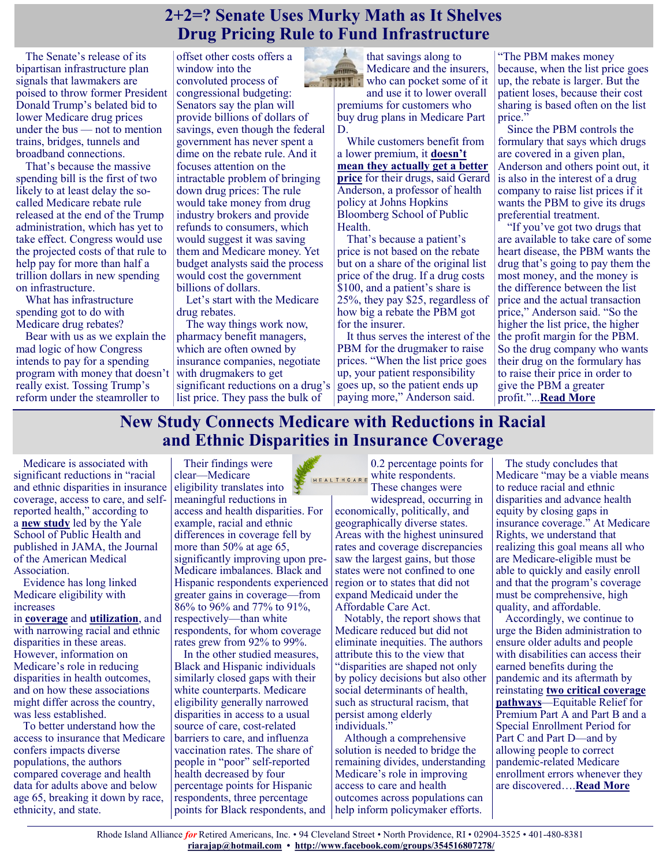# **2+2=? Senate Uses Murky Math as It Shelves Drug Pricing Rule to Fund Infrastructure**

The Senate's release of its bipartisan infrastructure plan signals that lawmakers are poised to throw former President Donald Trump's belated bid to lower Medicare drug prices under the bus — not to mention trains, bridges, tunnels and broadband connections.

That's because the massive spending bill is the first of two likely to at least delay the socalled Medicare rebate rule released at the end of the Trump administration, which has yet to take effect. Congress would use the projected costs of that rule to help pay for more than half a trillion dollars in new spending on infrastructure.

What has infrastructure spending got to do with Medicare drug rebates?

Bear with us as we explain the mad logic of how Congress intends to pay for a spending program with money that doesn't really exist. Tossing Trump's reform under the steamroller to

offset other costs offers a window into the convoluted process of congressional budgeting: Senators say the plan will provide billions of dollars of savings, even though the federal government has never spent a dime on the rebate rule. And it focuses attention on the intractable problem of bringing down drug prices: The rule would take money from drug industry brokers and provide refunds to consumers, which would suggest it was saving them and Medicare money. Yet budget analysts said the process would cost the government billions of dollars.

Let's start with the Medicare drug rebates.

The way things work now, pharmacy benefit managers, which are often owned by insurance companies, negotiate with drugmakers to get significant reductions on a drug's list price. They pass the bulk of



that savings along to Medicare and the insurers, **WHEN** who can pocket some of it

and use it to lower overall premiums for customers who buy drug plans in Medicare Part D.

While customers benefit from a lower premium, it **[doesn't](https://harvardjol.com/wp-content/uploads/sites/17/2020/05/R.-Feldman_Perverse-Incentives.pdf)  [mean they actually get a better](https://harvardjol.com/wp-content/uploads/sites/17/2020/05/R.-Feldman_Perverse-Incentives.pdf)  [price](https://harvardjol.com/wp-content/uploads/sites/17/2020/05/R.-Feldman_Perverse-Incentives.pdf)** for their drugs, said Gerard Anderson, a professor of health policy at Johns Hopkins Bloomberg School of Public Health.

That's because a patient's price is not based on the rebate but on a share of the original list price of the drug. If a drug costs \$100, and a patient's share is 25%, they pay \$25, regardless of how big a rebate the PBM got for the insurer.

It thus serves the interest of the PBM for the drugmaker to raise prices. "When the list price goes up, your patient responsibility goes up, so the patient ends up paying more," Anderson said.

"The PBM makes money because, when the list price goes up, the rebate is larger. But the patient loses, because their cost sharing is based often on the list price."

Since the PBM controls the formulary that says which drugs are covered in a given plan, Anderson and others point out, it is also in the interest of a drug company to raise list prices if it wants the PBM to give its drugs preferential treatment.

"If you've got two drugs that are available to take care of some heart disease, the PBM wants the drug that's going to pay them the most money, and the money is the difference between the list price and the actual transaction price," Anderson said. "So the higher the list price, the higher the profit margin for the PBM. So the drug company who wants their drug on the formulary has to raise their price in order to give the PBM a greater profit."...**[Read More](https://khn.org/news/article/medicare-drug-rebate-rule-senate-murky-math-fund-infrastructure-bill/)**

# **New Study Connects Medicare with Reductions in Racial and Ethnic Disparities in Insurance Coverage**

Medicare is associated with significant reductions in "racial and ethnic disparities in insurance coverage, access to care, and selfreported health," according to a **[new study](https://jamanetwork.com/journals/jamainternalmedicine/fullarticle/2782345?guestAccessKey=fa86996e-19e4-41ab-b728-9b69dc61efed&utm_source=For_The_Media&utm_medium=referral&utm_campaign=ftm_links&utm_content=tfl&utm_term=072621)** led by the Yale School of Public Health and published in JAMA, the Journal of the American Medical Association.

Evidence has long linked Medicare eligibility with increases

in **[coverage](https://www.healthaffairs.org/doi/10.1377/hlthaff.2020.00940)** and **[utilization](https://academic.oup.com/qje/article-abstract/122/1/1/1924702?redirectedFrom=fulltext)**, and with narrowing racial and ethnic disparities in these areas. However, information on Medicare's role in reducing disparities in health outcomes, and on how these associations might differ across the country, was less established.

To better understand how the access to insurance that Medicare confers impacts diverse populations, the authors compared coverage and health data for adults above and below age 65, breaking it down by race, ethnicity, and state.

clear—Medicare eligibility translates into meaningful reductions in access and health disparities. For example, racial and ethnic differences in coverage fell by more than 50% at age 65, significantly improving upon pre-Medicare imbalances. Black and Hispanic respondents experienced greater gains in coverage—from 86% to 96% and 77% to 91%, respectively—than white respondents, for whom coverage rates grew from 92% to 99%.

Their findings were

In the other studied measures, Black and Hispanic individuals similarly closed gaps with their white counterparts. Medicare eligibility generally narrowed disparities in access to a usual source of care, cost-related barriers to care, and influenza vaccination rates. The share of people in "poor" self-reported health decreased by four percentage points for Hispanic respondents, three percentage points for Black respondents, and

HEALTHCARE

0.2 percentage points for white respondents. These changes were

widespread, occurring in economically, politically, and geographically diverse states. Areas with the highest uninsured rates and coverage discrepancies saw the largest gains, but those states were not confined to one region or to states that did not expand Medicaid under the Affordable Care Act.

Notably, the report shows that Medicare reduced but did not eliminate inequities. The authors attribute this to the view that "disparities are shaped not only by policy decisions but also other social determinants of health, such as structural racism, that persist among elderly individuals."

Although a comprehensive solution is needed to bridge the remaining divides, understanding Medicare's role in improving access to care and health outcomes across populations can help inform policymaker efforts.

The study concludes that Medicare "may be a viable means to reduce racial and ethnic disparities and advance health equity by closing gaps in insurance coverage." At Medicare Rights, we understand that realizing this goal means all who are Medicare-eligible must be able to quickly and easily enroll and that the program's coverage must be comprehensive, high quality, and affordable.

Accordingly, we continue to urge the Biden administration to ensure older adults and people with disabilities can access their earned benefits during the pandemic and its aftermath by reinstating **[two critical coverage](https://www.medicarerights.org/pdf/020521-letter-on-medicare-enrollment-flexibilities.pdf)  [pathways](https://www.medicarerights.org/pdf/020521-letter-on-medicare-enrollment-flexibilities.pdf)**—Equitable Relief for Premium Part A and Part B and a Special Enrollment Period for Part C and Part D—and by allowing people to correct pandemic-related Medicare enrollment errors whenever they are discovered….**[Read More](https://www.medicarerights.org/medicare-watch/2021/08/05/new-study-connects-medicare-with-reductions-in-racial-and-ethnic-disparities-in-insurance-coverage)**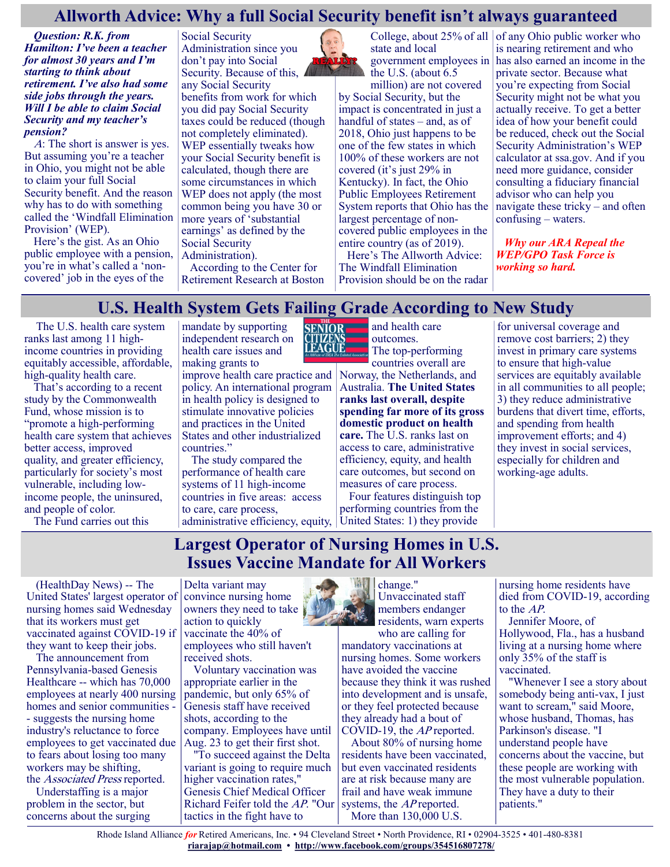## **Allworth Advice: Why a full Social Security benefit isn't always guaranteed**

*Question: R.K. from Hamilton: I've been a teacher for almost 30 years and I'm starting to think about retirement. I've also had some side jobs through the years. Will I be able to claim Social Security and my teacher's pension?*

<sup>A</sup>: The short is answer is yes. But assuming you're a teacher in Ohio, you might not be able to claim your full Social Security benefit. And the reason why has to do with something called the 'Windfall Elimination Provision' (WEP).

Here's the gist. As an Ohio public employee with a pension, you're in what's called a 'noncovered' job in the eyes of the

Social Security Administration since you don't pay into Social Security. Because of this,  $\sqrt{ }$ any Social Security benefits from work for which you did pay Social Security taxes could be reduced (though not completely eliminated). WEP essentially tweaks how your Social Security benefit is calculated, though there are some circumstances in which WEP does not apply (the most common being you have 30 or more years of 'substantial earnings' as defined by the Social Security Administration).

According to the Center for Retirement Research at Boston

state and local government employees in the U.S. (about 6.5

million) are not covered by Social Security, but the impact is concentrated in just a handful of states – and, as of 2018, Ohio just happens to be one of the few states in which 100% of these workers are not covered (it's just 29% in Kentucky). In fact, the Ohio Public Employees Retirement System reports that Ohio has the largest percentage of noncovered public employees in the entire country (as of 2019). Here's The Allworth Advice: The Windfall Elimination

Provision should be on the radar

College, about 25% of all of any Ohio public worker who is nearing retirement and who has also earned an income in the private sector. Because what you're expecting from Social Security might not be what you actually receive. To get a better idea of how your benefit could be reduced, check out the Social Security Administration's WEP calculator at ssa.gov. And if you need more guidance, consider consulting a fiduciary financial advisor who can help you navigate these tricky – and often confusing – waters.

> *Why our ARA Repeal the WEP/GPO Task Force is working so hard.*

# **U.S. Health System Gets Failing Grade According to New Study**

The U.S. health care system ranks last among 11 highincome countries in providing equitably accessible, affordable, high-quality health care.

That's according to a recent study by the Commonwealth Fund, whose mission is to "promote a high-performing health care system that achieves better access, improved quality, and greater efficiency, particularly for society's most vulnerable, including lowincome people, the uninsured, and people of color. The Fund carries out this

mandate by supporting independent research on health care issues and making grants to

improve health care practice and policy. An international program in health policy is designed to stimulate innovative policies and practices in the United States and other industrialized countries."

The study compared the performance of health care systems of 11 high-income countries in five areas: access to care, care process, administrative efficiency, equity,



and health care outcomes. The top-performing

countries overall are Norway, the Netherlands, and Australia. **The United States ranks last overall, despite spending far more of its gross domestic product on health care.** The U.S. ranks last on access to care, administrative efficiency, equity, and health care outcomes, but second on measures of care process.

Four features distinguish top performing countries from the United States: 1) they provide

for universal coverage and remove cost barriers; 2) they invest in primary care systems to ensure that high-value services are equitably available in all communities to all people; 3) they reduce administrative burdens that divert time, efforts, and spending from health improvement efforts; and 4) they invest in social services, especially for children and working-age adults.

# **Largest Operator of Nursing Homes in U.S. Issues Vaccine Mandate for All Workers**

(HealthDay News) -- The United States' largest operator of nursing homes said Wednesday that its workers must get vaccinated against COVID-19 if they want to keep their jobs.

The announcement from Pennsylvania-based Genesis Healthcare -- which has 70,000 employees at nearly 400 nursing homes and senior communities - - suggests the nursing home industry's reluctance to force employees to get vaccinated due to fears about losing too many workers may be shifting, the Associated Press reported.

Understaffing is a major problem in the sector, but concerns about the surging

Delta variant may convince nursing home owners they need to take action to quickly vaccinate the 40% of employees who still haven't received shots.

Voluntary vaccination was appropriate earlier in the pandemic, but only 65% of Genesis staff have received shots, according to the company. Employees have until Aug. 23 to get their first shot.

"To succeed against the Delta variant is going to require much higher vaccination rates," Genesis Chief Medical Officer Richard Feifer told the AP. "Our tactics in the fight have to



change." Unvaccinated staff members endanger residents, warn experts

who are calling for mandatory vaccinations at nursing homes. Some workers have avoided the vaccine because they think it was rushed into development and is unsafe, or they feel protected because they already had a bout of COVID-19, the AP reported.

About 80% of nursing home residents have been vaccinated, but even vaccinated residents are at risk because many are frail and have weak immune systems, the *AP* reported. More than 130,000 U.S.

nursing home residents have died from COVID-19, according to the AP.

Jennifer Moore, of Hollywood, Fla., has a husband living at a nursing home where only 35% of the staff is vaccinated.

"Whenever I see a story about somebody being anti-vax, I just want to scream," said Moore, whose husband, Thomas, has Parkinson's disease. "I understand people have concerns about the vaccine, but these people are working with the most vulnerable population. They have a duty to their patients."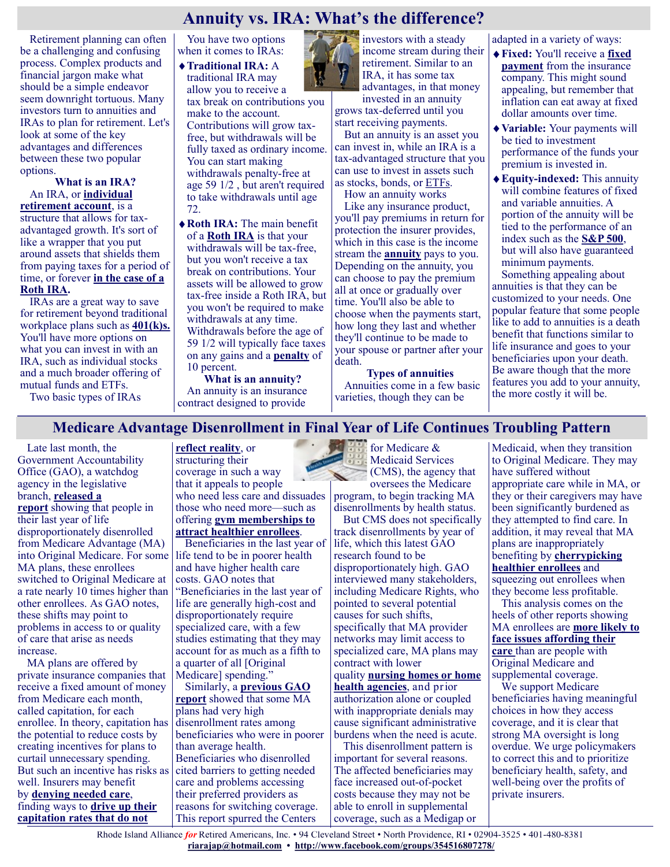# **Annuity vs. IRA: What's the difference?**

Retirement planning can often be a challenging and confusing process. Complex products and financial jargon make what should be a simple endeavor seem downright tortuous. Many investors turn to annuities and IRAs to plan for retirement. Let's look at some of the key advantages and differences between these two popular options.

**What is an IRA?** An IRA, or **[individual](https://www.bankrate.com/investing/what-is-an-ira/)  [retirement account](https://www.bankrate.com/investing/what-is-an-ira/)**, is a structure that allows for taxadvantaged growth. It's sort of like a wrapper that you put around assets that shields them from paying taxes for a period of time, or forever **[in the case of a](https://www.bankrate.com/retirement/roth-ira/)  [Roth IRA.](https://www.bankrate.com/retirement/roth-ira/)**

IRAs are a great way to save for retirement beyond traditional workplace plans such as **[401\(k\)s.](https://www.bankrate.com/retirement/401k/)** You'll have more options on what you can invest in with an IRA, such as individual stocks and a much broader offering of mutual funds and ETFs.

Two basic types of IRAs

You have two options when it comes to IRAs: **Traditional IRA:** A

# traditional IRA may

allow you to receive a tax break on contributions you make to the account. Contributions will grow taxfree, but withdrawals will be fully taxed as ordinary income. You can start making withdrawals penalty-free at age 59 1/2 , but aren't required to take withdrawals until age 72.

**Roth IRA:** The main benefit of a **[Roth IRA](https://www.bankrate.com/investing/best-roth-ira/)** is that your withdrawals will be tax-free, but you won't receive a tax break on contributions. Your assets will be allowed to grow tax-free inside a Roth IRA, but you won't be required to make withdrawals at any time. Withdrawals before the age of 59 1/2 will typically face taxes on any gains and a **[penalty](https://www.bankrate.com/retirement/ways-to-take-penalty-free-withdrawals-from-ira-or-401k/)** of 10 percent.

**What is an annuity?** An annuity is an insurance contract designed to provide

investors with a steady income stream during their retirement. Similar to an IRA, it has some tax advantages, in that money invested in an annuity

grows tax-deferred until you start receiving payments.

But an annuity is an asset you can invest in, while an IRA is a tax-advantaged structure that you can use to invest in assets such as stocks, bonds, or [ETFs.](https://www.bankrate.com/investing/how-to-invest-in-etfs/) How an annuity works

Like any insurance product, you'll pay premiums in return for protection the insurer provides, which in this case is the income stream the **[annuity](https://www.bankrate.com/insurance/life-insurance/life-insurance-annuity/)** pays to you. Depending on the annuity, you can choose to pay the premium all at once or gradually over time. You'll also be able to choose when the payments start, how long they last and whether they'll continue to be made to your spouse or partner after your death.

#### **Types of annuities**

Annuities come in a few basic varieties, though they can be

adapted in a variety of ways:

- **Fixed:** You'll receive a **[fixed](https://www.bankrate.com/retirement/what-is-a-fixed-annuity/)  [payment](https://www.bankrate.com/retirement/what-is-a-fixed-annuity/)** from the insurance company. This might sound appealing, but remember that inflation can eat away at fixed dollar amounts over time.
- **Variable:** Your payments will be tied to investment performance of the funds your premium is invested in.
- **Equity-indexed:** This annuity will combine features of fixed and variable annuities. A portion of the annuity will be tied to the performance of an index such as the **[S&P 500](https://www.bankrate.com/investing/how-to-buy-sp-500-index-fund/)**, but will also have guaranteed minimum payments.

Something appealing about annuities is that they can be customized to your needs. One popular feature that some people like to add to annuities is a death benefit that functions similar to life insurance and goes to your beneficiaries upon your death. Be aware though that the more features you add to your annuity, the more costly it will be.

#### **Medicare Advantage Disenrollment in Final Year of Life Continues Troubling Pattern**

Late last month, the Government Accountability Office (GAO), a watchdog agency in the legislative branch, **[released a](https://www.gao.gov/assets/gao-21-482.pdf)  [report](https://www.gao.gov/assets/gao-21-482.pdf)** showing that people in their last year of life disproportionately disenrolled from Medicare Advantage (MA) into Original Medicare. For some MA plans, these enrollees switched to Original Medicare at a rate nearly 10 times higher than other enrollees. As GAO notes, these shifts may point to problems in access to or quality of care that arise as needs increase.

MA plans are offered by private insurance companies that receive a fixed amount of money from Medicare each month, called capitation, for each enrollee. In theory, capitation has the potential to reduce costs by creating incentives for plans to curtail unnecessary spending. But such an incentive has risks as well. Insurers may benefit by **[denying needed care](https://oig.hhs.gov/reports-and-publications/workplan/summary/wp-summary-0000299.asp)**, finding ways to **[drive up their](https://www.forbes.com/sites/erikakelton/2015/06/17/the-risk-adjustment-scoring-scam-a-medicare-dis-advantage/?sh=6e6d71233d45)  [capitation rates that do not](https://www.forbes.com/sites/erikakelton/2015/06/17/the-risk-adjustment-scoring-scam-a-medicare-dis-advantage/?sh=6e6d71233d45)** 

**[reflect reality](https://www.forbes.com/sites/erikakelton/2015/06/17/the-risk-adjustment-scoring-scam-a-medicare-dis-advantage/?sh=6e6d71233d45)**, or structuring their coverage in such a way that it appeals to people who need less care and dissuades those who need more—such as offering **[gym memberships](https://www.fiercehealthcare.com/payer/are-medicare-advantage-plans-cherry-picking-healthier-members) to [attract healthier enrollees](https://www.nejm.org/doi/full/10.1056/NEJMsa1104273)**.

Beneficiaries in the last year of life tend to be in poorer health and have higher health care costs. GAO notes that "Beneficiaries in the last year of life are generally high-cost and disproportionately require specialized care, with a few studies estimating that they may account for as much as a fifth to a quarter of all [Original Medicare] spending."

Similarly, a **[previous GAO](https://www.gao.gov/products/gao-17-393)  [report](https://www.gao.gov/products/gao-17-393)** showed that some MA plans had very high disenrollment rates among beneficiaries who were in poorer than average health. Beneficiaries who disenrolled cited barriers to getting needed care and problems accessing their preferred providers as reasons for switching coverage. This report spurred the Centers

for Medicare & **Medicaid Services** (CMS), the agency that oversees the Medicare program, to begin tracking MA disenrollments by health status.

But CMS does not specifically track disenrollments by year of life, which this latest GAO research found to be disproportionately high. GAO interviewed many stakeholders, including Medicare Rights, who pointed to several potential causes for such shifts, specifically that MA provider networks may limit access to specialized care, MA plans may contract with lower quality **[nursing homes](https://pubmed.ncbi.nlm.nih.gov/29309215/) or home** 

**[health agencies](https://pubmed.ncbi.nlm.nih.gov/31483472/)**, and prior authorization alone or coupled with inappropriate denials may cause significant administrative burdens when the need is acute.

This disenrollment pattern is important for several reasons. The affected beneficiaries may face increased out-of-pocket costs because they may not be able to enroll in supplemental coverage, such as a Medigap or

Medicaid, when they transition to Original Medicare. They may have suffered without appropriate care while in MA, or they or their caregivers may have been significantly burdened as they attempted to find care. In addition, it may reveal that MA plans are inappropriately benefiting by **[cherrypicking](https://www.medicarerights.org/medicare-watch/2021/03/11/medpac-reiterates-position-that-ma-plans-cost-more-responds-to-criticism)  [healthier enrollees](https://www.medicarerights.org/medicare-watch/2021/03/11/medpac-reiterates-position-that-ma-plans-cost-more-responds-to-criticism)** and squeezing out enrollees when they become less profitable.

This analysis comes on the heels of other reports showing MA enrollees are **[more likely to](https://www.medicarerights.org/medicare-watch/2021/07/01/medicare-advantage-may-expose-enrollees-to-higher-risk-of-cost-related-problems)  [face issues affording their](https://www.medicarerights.org/medicare-watch/2021/07/01/medicare-advantage-may-expose-enrollees-to-higher-risk-of-cost-related-problems)  [care](https://www.medicarerights.org/medicare-watch/2021/07/01/medicare-advantage-may-expose-enrollees-to-higher-risk-of-cost-related-problems)** than are people with Original Medicare and supplemental coverage.

We support Medicare beneficiaries having meaningful choices in how they access coverage, and it is clear that strong MA oversight is long overdue. We urge policymakers to correct this and to prioritize beneficiary health, safety, and well-being over the profits of private insurers.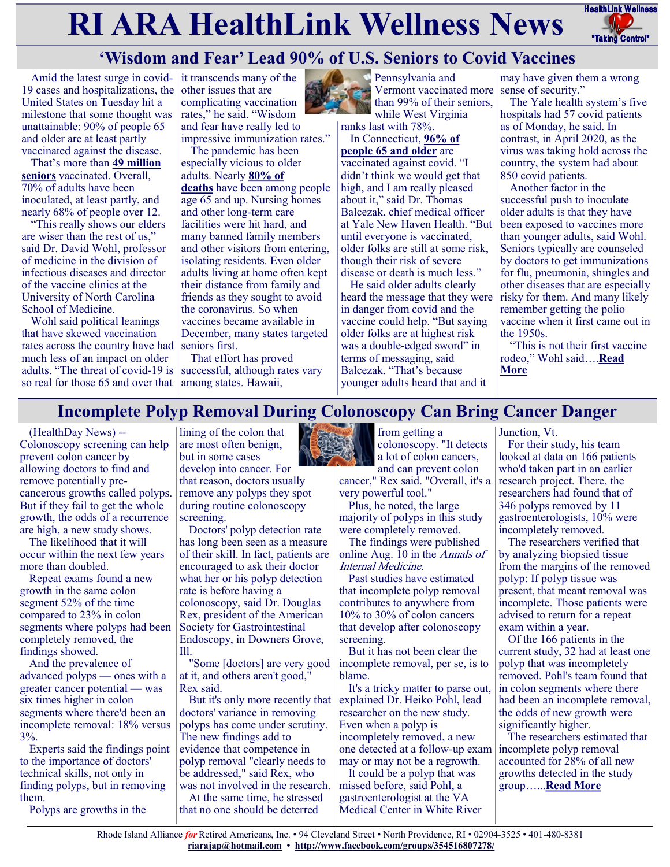# **RI ARA HealthLink Wellness News** FreathLink Wellness



# **'Wisdom and Fear' Lead 90% of U.S. Seniors to Covid Vaccines**

Amid the latest surge in covid-19 cases and hospitalizations, the United States on Tuesday hit a milestone that some thought was unattainable: 90% of people 65 and older are at least partly vaccinated against the disease.

That's more than **[49 million](https://covid.cdc.gov/covid-data-tracker/#vaccinations)  [seniors](https://covid.cdc.gov/covid-data-tracker/#vaccinations)** vaccinated. Overall, 70% of adults have been inoculated, at least partly, and nearly 68% of people over 12.

"This really shows our elders are wiser than the rest of us," said Dr. David Wohl, professor of medicine in the division of infectious diseases and director of the vaccine clinics at the University of North Carolina School of Medicine.

Wohl said political leanings that have skewed vaccination rates across the country have had much less of an impact on older adults. "The threat of covid-19 is so real for those 65 and over that

it transcends many of the other issues that are complicating vaccination rates," he said. "Wisdom and fear have really led to impressive immunization rates." The pandemic has been

especially vicious to older adults. Nearly **[80% of](https://www.cdc.gov/nchs/covid19/mortality-overview.htm)  [deaths](https://www.cdc.gov/nchs/covid19/mortality-overview.htm)** have been among people age 65 and up. Nursing homes and other long-term care facilities were hit hard, and many banned family members and other visitors from entering, isolating residents. Even older adults living at home often kept their distance from family and friends as they sought to avoid the coronavirus. So when vaccines became available in December, many states targeted seniors first.

That effort has proved successful, although rates vary among states. Hawaii,



Vermont vaccinated more than 99% of their seniors, while West Virginia ranks last with 78%.

In Connecticut, **[96% of](https://portal.ct.gov/Office-of-the-Governor/News/Press-Releases/2021/07-2021/Governor-Lamont-Coronavirus-Update-July-29)  [people 65 and older](https://portal.ct.gov/Office-of-the-Governor/News/Press-Releases/2021/07-2021/Governor-Lamont-Coronavirus-Update-July-29)** are

vaccinated against covid. "I didn't think we would get that high, and I am really pleased about it," said Dr. Thomas Balcezak, chief medical officer at Yale New Haven Health. "But until everyone is vaccinated, older folks are still at some risk, though their risk of severe disease or death is much less."

He said older adults clearly heard the message that they were in danger from covid and the vaccine could help. "But saying older folks are at highest risk was a double-edged sword" in terms of messaging, said Balcezak. "That's because younger adults heard that and it

may have given them a wrong sense of security."

The Yale health system's five hospitals had 57 covid patients as of Monday, he said. In contrast, in April 2020, as the virus was taking hold across the country, the system had about 850 covid patients.

Another factor in the successful push to inoculate older adults is that they have been exposed to vaccines more than younger adults, said Wohl. Seniors typically are counseled by doctors to get immunizations for flu, pneumonia, shingles and other diseases that are especially risky for them. And many likely remember getting the polio vaccine when it first came out in the 1950s.

"This is not their first vaccine rodeo," Wohl said….**[Read](https://khn.org/news/article/wisdom-and-fear-lead-90-of-u-s-seniors-to-covid-vaccines/)  [More](https://khn.org/news/article/wisdom-and-fear-lead-90-of-u-s-seniors-to-covid-vaccines/)**

# **Incomplete Polyp Removal During Colonoscopy Can Bring Cancer Danger**

(HealthDay News) -- Colonoscopy screening can help prevent colon cancer by allowing doctors to find and remove potentially precancerous growths called polyps. But if they fail to get the whole growth, the odds of a recurrence are high, a new study shows.

The likelihood that it will occur within the next few years more than doubled.

Repeat exams found a new growth in the same colon segment 52% of the time compared to 23% in colon segments where polyps had been completely removed, the findings showed.

And the prevalence of advanced polyps — ones with a greater cancer potential — was six times higher in colon segments where there'd been an incomplete removal: 18% versus 3%.

Experts said the findings point to the importance of doctors' technical skills, not only in finding polyps, but in removing them.

Polyps are growths in the

lining of the colon that are most often benign, but in some cases develop into cancer. For that reason, doctors usually remove any polyps they spot during routine colonoscopy screening.

Doctors' polyp detection rate has long been seen as a measure of their skill. In fact, patients are encouraged to ask their doctor what her or his polyp detection rate is before having a colonoscopy, said Dr. Douglas Rex, president of the American Society for Gastrointestinal Endoscopy, in Downers Grove, Ill.

"Some [doctors] are very good at it, and others aren't good," Rex said.

But it's only more recently that doctors' variance in removing polyps has come under scrutiny. The new findings add to evidence that competence in polyp removal "clearly needs to be addressed," said Rex, who was not involved in the research. At the same time, he stressed

that no one should be deterred



from getting a colonoscopy. "It detects a lot of colon cancers, and can prevent colon

cancer," Rex said. "Overall, it's a very powerful tool."

Plus, he noted, the large majority of polyps in this study were completely removed.

The findings were published online Aug. 10 in the Annals of Internal Medicine.

Past studies have estimated that incomplete polyp removal contributes to anywhere from 10% to 30% of colon cancers that develop after colonoscopy screening.

But it has not been clear the incomplete removal, per se, is to blame.

It's a tricky matter to parse out, explained Dr. Heiko Pohl, lead researcher on the new study. Even when a polyp is incompletely removed, a new one detected at a follow-up exam may or may not be a regrowth.

It could be a polyp that was missed before, said Pohl, a gastroenterologist at the VA Medical Center in White River Junction, Vt.

For their study, his team looked at data on 166 patients who'd taken part in an earlier research project. There, the researchers had found that of 346 polyps removed by 11 gastroenterologists, 10% were incompletely removed.

The researchers verified that by analyzing biopsied tissue from the margins of the removed polyp: If polyp tissue was present, that meant removal was incomplete. Those patients were advised to return for a repeat exam within a year.

Of the 166 patients in the current study, 32 had at least one polyp that was incompletely removed. Pohl's team found that in colon segments where there had been an incomplete removal, the odds of new growth were significantly higher.

The researchers estimated that incomplete polyp removal accounted for 28% of all new growths detected in the study group…...**[Read More](https://consumer.healthday.com/8-10-incomplete-polyp-removal-during-colonoscopy-can-bring-cancer-danger-2654436047.html)**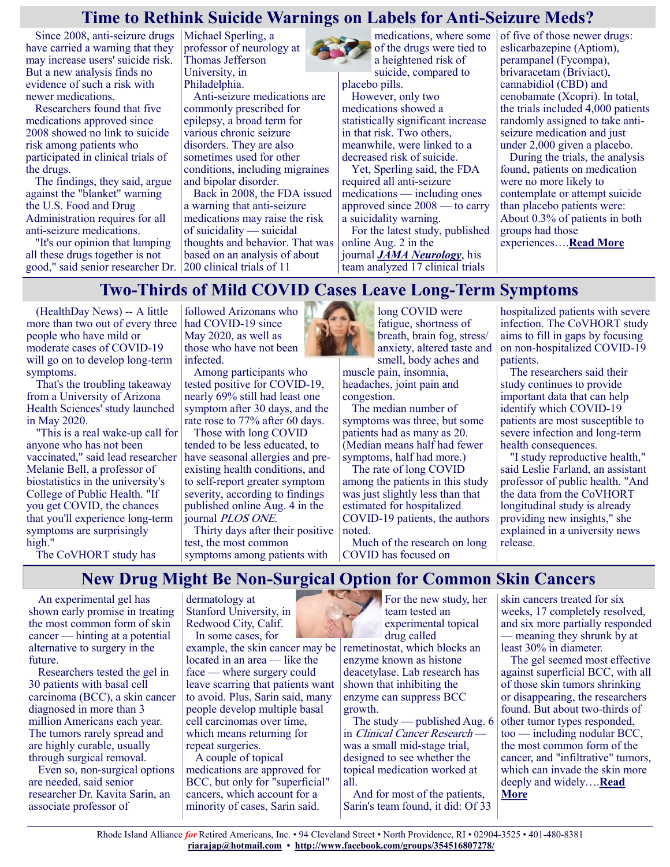#### **Time to Rethink Suicide Warnings on Labels for Anti-Seizure Meds?**

Since 2008, anti-seizure drugs Michael Sperling, a have carried a warning that they may increase users' suicide risk. But a new analysis finds no evidence of such a risk with newer medications.

Researchers found that five medications approved since 2008 showed no link to suicide risk among patients who participated in clinical trials of the drugs.

The findings, they said, argue against the "blanket" warning the U.S. Food and Drug Administration requires for all anti-seizure medications.

"It's our opinion that lumping all these drugs together is not good," said senior researcher Dr. 200 clinical trials of 11

professor of neurology at Thomas Jefferson University, in Philadelphia.

Anti-seizure medications are commonly prescribed for epilepsy, a broad term for various chronic seizure disorders. They are also sometimes used for other conditions, including migraines and bipolar disorder.

Back in 2008, the FDA issued a warning that anti-seizure medications may raise the risk of suicidality — suicidal thoughts and behavior. That was based on an analysis of about



of the drugs were tied to a heightened risk of suicide, compared to placebo pills.

However, only two medications showed a statistically significant increase in that risk. Two others, meanwhile, were linked to a decreased risk of suicide.

Yet, Sperling said, the FDA required all anti-seizure medications — including ones approved since 2008 — to carry a suicidality warning.

For the latest study, published online Aug. 2 in the journal *[JAMA Neurology](https://jamanetwork.com/journals/jamaneurology/fullarticle/2782748?guestAccessKey=db6fba47-32b2-46e5-89a9-425d132e5b11&utm_source=For_The_Media&utm_medium=referral&utm_campaign=ftm_links&utm_content=tfl&utm_term=080221)*, his team analyzed 17 clinical trials

medications, where some  $\vert$  of five of those newer drugs: eslicarbazepine (Aptiom), perampanel (Fycompa), brivaracetam (Briviact), cannabidiol (CBD) and cenobamate (Xcopri). In total, the trials included 4,000 patients randomly assigned to take antiseizure medication and just under 2,000 given a placebo.

During the trials, the analysis found, patients on medication were no more likely to contemplate or attempt suicide than placebo patients were: About 0.3% of patients in both groups had those experiences….**[Read More](https://consumer.healthday.com/8-4-is-it-time-to-drop-suicide-warning-from-seizure-drug-labeling-2654298578.html)**

# **Two-Thirds of Mild COVID Cases Leave Long-Term Symptoms**

(HealthDay News) -- A little more than two out of every three people who have mild or moderate cases of COVID-19 will go on to develop long-term symptoms.

That's the troubling takeaway from a University of Arizona Health Sciences' study launched in May 2020.

"This is a real wake-up call for anyone who has not been vaccinated," said lead researcher Melanie Bell, a professor of biostatistics in the university's College of Public Health. "If you get COVID, the chances that you'll experience long-term symptoms are surprisingly high."

The CoVHORT study has

followed Arizonans who had COVID-19 since May 2020, as well as those who have not been infected.

Among participants who tested positive for COVID-19, nearly 69% still had least one symptom after 30 days, and the rate rose to 77% after 60 days.

Those with long COVID tended to be less educated, to have seasonal allergies and preexisting health conditions, and to self-report greater symptom severity, according to findings published online Aug. 4 in the journal PLOS ONE.

Thirty days after their positive test, the most common symptoms among patients with



muscle pain, insomnia, headaches, joint pain and congestion.

The median number of symptoms was three, but some patients had as many as 20. (Median means half had fewer symptoms, half had more.)

The rate of long COVID among the patients in this study was just slightly less than that estimated for hospitalized COVID-19 patients, the authors noted.

Much of the research on long COVID has focused on

hospitalized patients with severe infection. The CoVHORT study aims to fill in gaps by focusing on non-hospitalized COVID-19 patients.

The researchers said their study continues to provide important data that can help identify which COVID-19 patients are most susceptible to severe infection and long-term health consequences.

"I study reproductive health," said Leslie Farland, an assistant professor of public health. "And the data from the CoVHORT longitudinal study is already providing new insights," she explained in a university news release.

# **New Drug Might Be Non-Surgical Option for Common Skin Cancers**

An experimental gel has shown early promise in treating the most common form of skin cancer — hinting at a potential alternative to surgery in the future.

Researchers tested the gel in 30 patients with basal cell carcinoma (BCC), a skin cancer diagnosed in more than 3 million Americans each year. The tumors rarely spread and are highly curable, usually through surgical removal.

Even so, non-surgical options are needed, said senior researcher Dr. Kavita Sarin, an associate professor of

dermatology at Stanford University, in Redwood City, Calif. In some cases, for

example, the skin cancer may be remetinostat, which blocks an located in an area — like the face — where surgery could leave scarring that patients want to avoid. Plus, Sarin said, many people develop multiple basal cell carcinomas over time, which means returning for repeat surgeries.

A couple of topical medications are approved for BCC, but only for "superficial" cancers, which account for a minority of cases, Sarin said.

For the new study, her team tested an experimental topical drug called

enzyme known as histone deacetylase. Lab research has shown that inhibiting the enzyme can suppress BCC growth.

The study — published Aug. 6 in Clinical Cancer Research was a small mid-stage trial, designed to see whether the topical medication worked at all.

And for most of the patients, Sarin's team found, it did: Of 33

skin cancers treated for six weeks, 17 completely resolved, and six more partially responded — meaning they shrunk by at least 30% in diameter.

The gel seemed most effective against superficial BCC, with all of those skin tumors shrinking or disappearing, the researchers found. But about two-thirds of other tumor types responded, too — including nodular BCC, the most common form of the cancer, and "infiltrative" tumors, which can invade the skin more deeply and widely….**[Read](https://consumer.healthday.com/8-9-new-drug-might-be-non-surgical-option-for-common-skin-cancers-2654437635.html)  [More](https://consumer.healthday.com/8-9-new-drug-might-be-non-surgical-option-for-common-skin-cancers-2654437635.html)**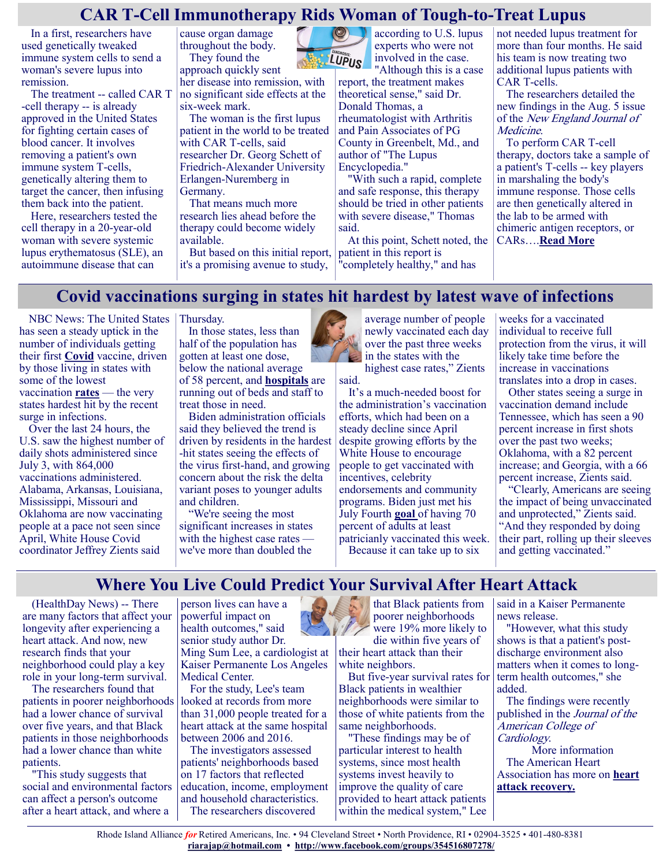#### **CAR T-Cell Immunotherapy Rids Woman of Tough-to-Treat Lupus**

In a first, researchers have used genetically tweaked immune system cells to send a woman's severe lupus into remission.

The treatment -- called CAR T -cell therapy -- is already approved in the United States for fighting certain cases of blood cancer. It involves removing a patient's own immune system T-cells, genetically altering them to target the cancer, then infusing them back into the patient.

Here, researchers tested the cell therapy in a 20-year-old woman with severe systemic lupus erythematosus (SLE), an autoimmune disease that can

cause organ damage throughout the body. They found the

approach quickly sent her disease into remission, with no significant side effects at the six-week mark.

The woman is the first lupus patient in the world to be treated with CAR T-cells, said researcher Dr. Georg Schett of Friedrich-Alexander University Erlangen-Nuremberg in Germany.

That means much more research lies ahead before the therapy could become widely available.

But based on this initial report, it's a promising avenue to study,

according to U.S. lupus experts who were not **LUPUS** involved in the case.

"Although this is a case report, the treatment makes theoretical sense," said Dr. Donald Thomas, a rheumatologist with Arthritis and Pain Associates of PG County in Greenbelt, Md., and author of "The Lupus Encyclopedia."

"With such a rapid, complete and safe response, this therapy should be tried in other patients with severe disease," Thomas said.

At this point, Schett noted, the patient in this report is "completely healthy," and has

not needed lupus treatment for more than four months. He said his team is now treating two additional lupus patients with CAR T-cells.

The researchers detailed the new findings in the Aug. 5 issue of the New England Journal of Medicine.

To perform CAR T-cell therapy, doctors take a sample of a patient's T-cells -- key players in marshaling the body's immune response. Those cells are then genetically altered in the lab to be armed with chimeric antigen receptors, or CARs….**[Read More](https://consumer.healthday.com/8-5-car-t-immunotherapy-rids-woman-of-tough-to-treat-lupus-2654296746.html)**

# **Covid vaccinations surging in states hit hardest by latest wave of infections**

NBC News: The United States has seen a steady uptick in the number of individuals getting their first **[Covid](https://www.nbcnews.com/health/coronavirus)** vaccine, driven by those living in states with some of the lowest vaccination **[rates](https://www.nbcnews.com/health/health-news/map-covid-19-vaccination-tracker-across-u-s-n1252085)** — the very states hardest hit by the recent surge in infections.

Over the last 24 hours, the U.S. saw the highest number of daily shots administered since July 3, with 864,000 vaccinations administered. Alabama, Arkansas, Louisiana, Mississippi, Missouri and Oklahoma are now vaccinating people at a pace not seen since April, White House Covid coordinator Jeffrey Zients said

Thursday. In those states, less than half of the population has gotten at least one dose, below the national average of 58 percent, and **[hospitals](https://www.nbcnews.com/news/us-news/mississippi-only-has-6-open-icu-beds-arkansas-only-25-n1275984)** are running out of beds and staff to treat those in need.

Biden administration officials said they believed the trend is driven by residents in the hardest -hit states seeing the effects of the virus first-hand, and growing concern about the risk the delta variant poses to younger adults and children.

"We're seeing the most significant increases in states with the highest case rates we've more than doubled the

average number of people newly vaccinated each day over the past three weeks  $\epsilon$  in the states with the

highest case rates," Zients said.

It's a much-needed boost for the administration's vaccination efforts, which had been on a steady decline since April despite growing efforts by the White House to encourage people to get vaccinated with incentives, celebrity endorsements and community programs. Biden just met his July Fourth **[goal](https://www.nbcnews.com/politics/white-house/graphic-track-biden-fourth-july-vaccination-goals-n1268803)** of having 70 percent of adults at least patricianly vaccinated this week. Because it can take up to six

weeks for a vaccinated individual to receive full protection from the virus, it will likely take time before the increase in vaccinations translates into a drop in cases.

Other states seeing a surge in vaccination demand include Tennessee, which has seen a 90 percent increase in first shots over the past two weeks; Oklahoma, with a 82 percent increase; and Georgia, with a 66 percent increase, Zients said.

"Clearly, Americans are seeing the impact of being unvaccinated and unprotected," Zients said. "And they responded by doing their part, rolling up their sleeves and getting vaccinated."

#### **Where You Live Could Predict Your Survival After Heart Attack**

(HealthDay News) -- There are many factors that affect your longevity after experiencing a heart attack. And now, new research finds that your neighborhood could play a key role in your long-term survival.

The researchers found that patients in poorer neighborhoods had a lower chance of survival over five years, and that Black patients in those neighborhoods had a lower chance than white patients.

"This study suggests that social and environmental factors can affect a person's outcome after a heart attack, and where a

person lives can have a powerful impact on health outcomes," said senior study author Dr. Ming Sum Lee, a cardiologist at Kaiser Permanente Los Angeles Medical Center.

For the study, Lee's team looked at records from more than 31,000 people treated for a heart attack at the same hospital between 2006 and 2016.

The investigators assessed patients' neighborhoods based on 17 factors that reflected education, income, employment and household characteristics. The researchers discovered



that Black patients from poorer neighborhoods were 19% more likely to die within five years of

their heart attack than their white neighbors.

But five-year survival rates for Black patients in wealthier neighborhoods were similar to those of white patients from the same neighborhoods.

"These findings may be of particular interest to health systems, since most health systems invest heavily to improve the quality of care provided to heart attack patients within the medical system," Lee

said in a Kaiser Permanente news release.

"However, what this study shows is that a patient's postdischarge environment also matters when it comes to longterm health outcomes," she added.

The findings were recently published in the Journal of the American College of Cardiology.

More information The American Heart Association has more on **[heart](https://www.heart.org/en/health-topics/heart-attack/life-after-a-heart-attack/heart-attack-recovery-faqs)  [attack recovery.](https://www.heart.org/en/health-topics/heart-attack/life-after-a-heart-attack/heart-attack-recovery-faqs)**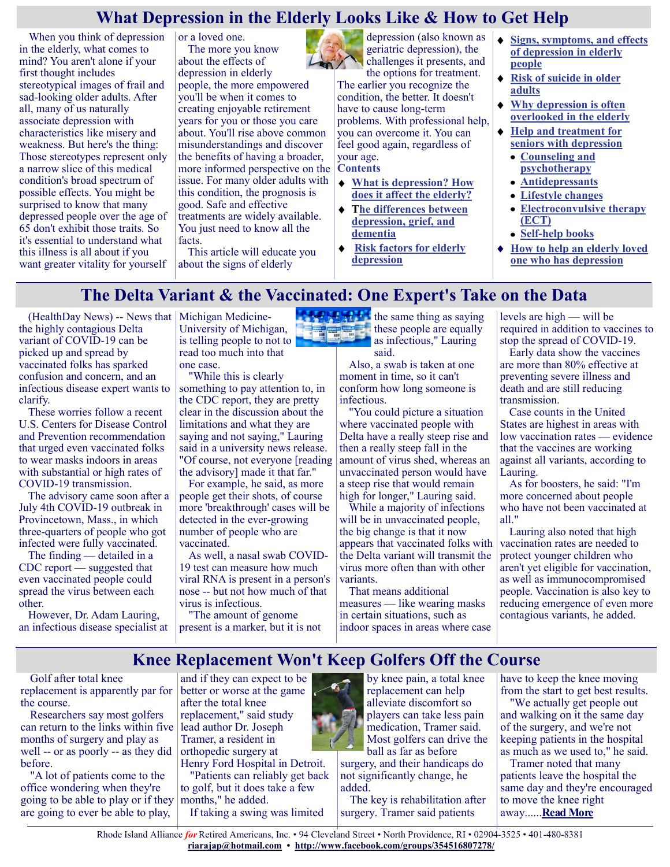# **What Depression in the Elderly Looks Like & How to Get Help**

When you think of depression in the elderly, what comes to mind? You aren't alone if your first thought includes stereotypical images of frail and sad-looking older adults. After all, many of us naturally associate depression with characteristics like misery and weakness. But here's the thing: Those stereotypes represent only a narrow slice of this medical condition's broad spectrum of possible effects. You might be surprised to know that many depressed people over the age of 65 don't exhibit those traits. So it's essential to understand what this illness is all about if you want greater vitality for yourself or a loved one. The more you know about the effects of depression in elderly people, the more empowered you'll be when it comes to creating enjoyable retirement years for you or those you care about. You'll rise above common misunderstandings and discover the benefits of having a broader, more informed perspective on the issue. For many older adults with this condition, the prognosis is good. Safe and effective treatments are widely available. You just need to know all the facts.

This article will educate you about the signs of elderly

depression (also known as geriatric depression), the challenges it presents, and the options for treatment.

The earlier you recognize the condition, the better. It doesn't have to cause long-term problems. With professional help, you can overcome it. You can feel good again, regardless of your age.

#### **Contents**

- **[What is depression? How](https://www.greatseniorliving.com/health-wellness/depression-in-the-elderly#what-is-depression)  [does it affect the elderly?](https://www.greatseniorliving.com/health-wellness/depression-in-the-elderly#what-is-depression)**
- **[The differences between](https://www.greatseniorliving.com/health-wellness/depression-in-the-elderly#differences)  [depression, grief, and](https://www.greatseniorliving.com/health-wellness/depression-in-the-elderly#differences)  [dementia](https://www.greatseniorliving.com/health-wellness/depression-in-the-elderly#differences)**
- **[Risk factors for elderly](https://www.greatseniorliving.com/health-wellness/depression-in-the-elderly#risk-factors)  [depression](https://www.greatseniorliving.com/health-wellness/depression-in-the-elderly#risk-factors)**
- **[Signs, symptoms, and effects](https://www.greatseniorliving.com/health-wellness/depression-in-the-elderly#effects-of-depression)  [of depression in elderly](https://www.greatseniorliving.com/health-wellness/depression-in-the-elderly#effects-of-depression)  [people](https://www.greatseniorliving.com/health-wellness/depression-in-the-elderly#effects-of-depression)**
- **[Risk of suicide in older](https://www.greatseniorliving.com/health-wellness/depression-in-the-elderly#risk-of-suicide)  [adults](https://www.greatseniorliving.com/health-wellness/depression-in-the-elderly#risk-of-suicide)**
- **[Why depression is often](https://www.greatseniorliving.com/health-wellness/depression-in-the-elderly#overlooked)  [overlooked in the elderly](https://www.greatseniorliving.com/health-wellness/depression-in-the-elderly#overlooked)**
- **[Help and treatment for](https://www.greatseniorliving.com/health-wellness/depression-in-the-elderly#treatment-for-seniors)  [seniors with depression](https://www.greatseniorliving.com/health-wellness/depression-in-the-elderly#treatment-for-seniors)**
	- **[Counseling and](https://www.greatseniorliving.com/health-wellness/depression-in-the-elderly#counseling-psychotherapy)  [psychotherapy](https://www.greatseniorliving.com/health-wellness/depression-in-the-elderly#counseling-psychotherapy)**
	- **[Antidepressants](https://www.greatseniorliving.com/health-wellness/depression-in-the-elderly#antidepressants)**
	- **[Lifestyle changes](https://www.greatseniorliving.com/health-wellness/depression-in-the-elderly#lifestyle-changes)**
	- **[Electroconvulsive therapy](https://www.greatseniorliving.com/health-wellness/depression-in-the-elderly#ect)  [\(ECT\)](https://www.greatseniorliving.com/health-wellness/depression-in-the-elderly#ect)**
	- **Self-[help books](https://www.greatseniorliving.com/health-wellness/depression-in-the-elderly#books)**
- **[How to help an elderly loved](https://www.greatseniorliving.com/health-wellness/depression-in-the-elderly#loved-one)  [one who has depression](https://www.greatseniorliving.com/health-wellness/depression-in-the-elderly#loved-one)**

# **The Delta Variant & the Vaccinated: One Expert's Take on the Data**

(HealthDay News) -- News that Michigan Medicinethe highly contagious Delta variant of COVID-19 can be picked up and spread by vaccinated folks has sparked confusion and concern, and an infectious disease expert wants to clarify.

These worries follow a recent U.S. Centers for Disease Control and Prevention recommendation that urged even vaccinated folks to wear masks indoors in areas with substantial or high rates of COVID-19 transmission.

The advisory came soon after a July 4th COVID-19 outbreak in Provincetown, Mass., in which three-quarters of people who got infected were fully vaccinated.

The finding — detailed in a CDC report — suggested that even vaccinated people could spread the virus between each other.

However, Dr. Adam Lauring, an infectious disease specialist at

University of Michigan, is telling people to not to read too much into that one case.

"While this is clearly

something to pay attention to, in the CDC report, they are pretty clear in the discussion about the limitations and what they are saying and not saying," Lauring said in a university news release. "Of course, not everyone [reading the advisory] made it that far."

For example, he said, as more people get their shots, of course more 'breakthrough' cases will be detected in the ever-growing number of people who are vaccinated.

As well, a nasal swab COVID-19 test can measure how much viral RNA is present in a person's nose -- but not how much of that virus is infectious.

"The amount of genome present is a marker, but it is not

 $t_{\text{max}}$  the same thing as saying these people are equally as infectious," Lauring said.

> Also, a swab is taken at one moment in time, so it can't conform how long someone is infectious.

"You could picture a situation where vaccinated people with Delta have a really steep rise and then a really steep fall in the amount of virus shed, whereas an unvaccinated person would have a steep rise that would remain high for longer," Lauring said.

While a majority of infections will be in unvaccinated people, the big change is that it now appears that vaccinated folks with the Delta variant will transmit the virus more often than with other variants.

That means additional measures — like wearing masks in certain situations, such as indoor spaces in areas where case levels are high — will be required in addition to vaccines to stop the spread of COVID-19.

Early data show the vaccines are more than 80% effective at preventing severe illness and death and are still reducing transmission.

Case counts in the United States are highest in areas with low vaccination rates — evidence that the vaccines are working against all variants, according to Lauring.

As for boosters, he said: "I'm more concerned about people who have not been vaccinated at all."

Lauring also noted that high vaccination rates are needed to protect younger children who aren't yet eligible for vaccination, as well as immunocompromised people. Vaccination is also key to reducing emergence of even more contagious variants, he added.

# **Knee Replacement Won't Keep Golfers Off the Course**

Golf after total knee replacement is apparently par for the course.

Researchers say most golfers can return to the links within five months of surgery and play as well -- or as poorly -- as they did before.

"A lot of patients come to the office wondering when they're going to be able to play or if they are going to ever be able to play,

and if they can expect to be better or worse at the game after the total knee replacement," said study lead author Dr. Joseph Tramer, a resident in orthopedic surgery at

Henry Ford Hospital in Detroit. "Patients can reliably get back to golf, but it does take a few months," he added.

If taking a swing was limited



surgery, and their handicaps do not significantly change, he added.

The key is rehabilitation after surgery. Tramer said patients

have to keep the knee moving from the start to get best results.

"We actually get people out and walking on it the same day of the surgery, and we're not keeping patients in the hospital as much as we used to," he said.

Tramer noted that many patients leave the hospital the same day and they're encouraged to move the knee right away......**[Read More](https://consumer.healthday.com/8-6-knee-replacement-won-t-keep-golfers-off-the-course-2654437459.html)**